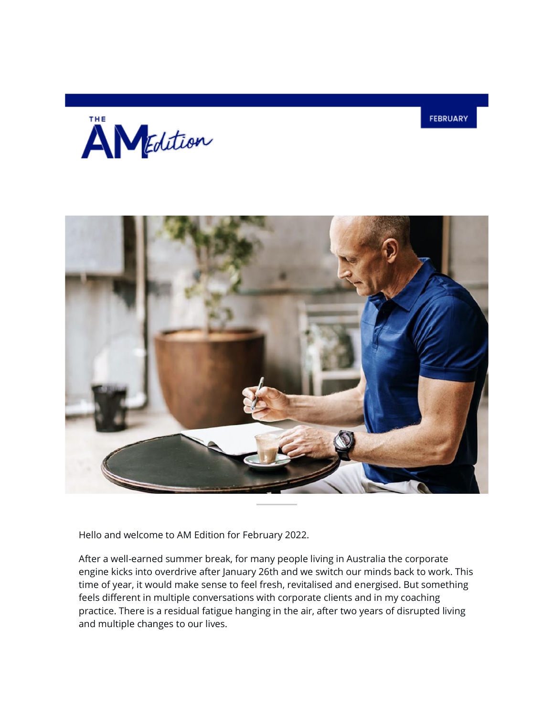





Hello and welcome to AM Edition for February 2022.

After a well-earned summer break, for many people living in Australia the corporate engine kicks into overdrive after January 26th and we switch our minds back to work. This time of year, it would make sense to feel fresh, revitalised and energised. But something feels different in multiple conversations with corporate clients and in my coaching practice. There is a residual fatigue hanging in the air, after two years of disrupted living and multiple changes to our lives.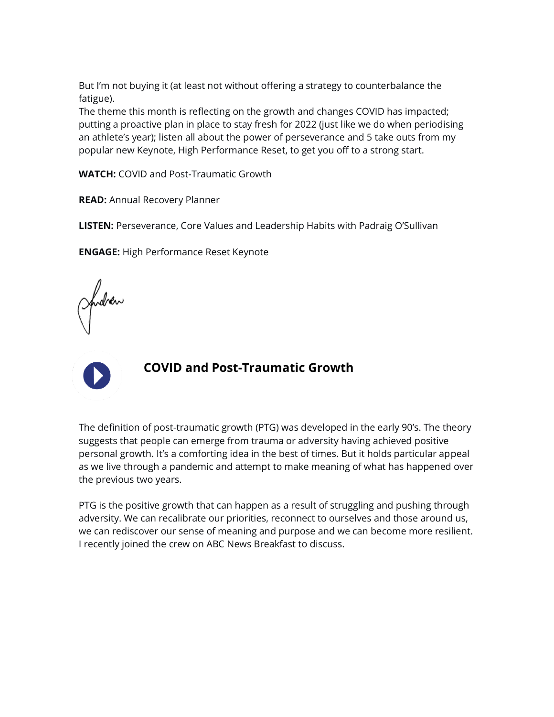But I'm not buying it (at least not without offering a strategy to counterbalance the fatigue).

The theme this month is reflecting on the growth and changes COVID has impacted; putting a proactive plan in place to stay fresh for 2022 (just like we do when periodising an athlete's year); listen all about the power of perseverance and 5 take outs from my popular new Keynote, High Performance Reset, to get you off to a strong start.

**WATCH:** COVID and Post-Traumatic Growth

**READ:** Annual Recovery Planner

**LISTEN:** Perseverance, Core Values and Leadership Habits with Padraig O'Sullivan

**ENGAGE:** High Performance Reset Keynote

fucher



## **COVID and Post-Traumatic Growth**

The definition of post-traumatic growth (PTG) was developed in the early 90's. The theory suggests that people can emerge from trauma or adversity having achieved positive personal growth. It's a comforting idea in the best of times. But it holds particular appeal as we live through a pandemic and attempt to make meaning of what has happened over the previous two years.

PTG is the positive growth that can happen as a result of struggling and pushing through adversity. We can recalibrate our priorities, reconnect to ourselves and those around us, we can rediscover our sense of meaning and purpose and we can become more resilient. I recently joined the crew on ABC News Breakfast to discuss.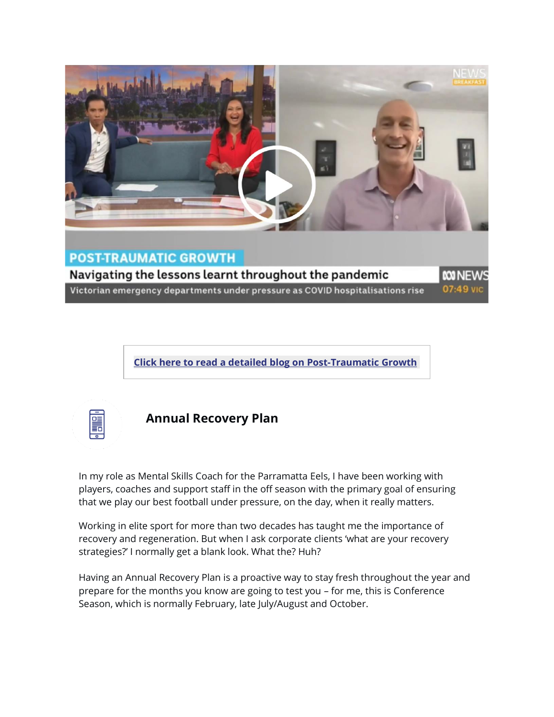

**Click here to read a detailed blog on [Post-Traumatic](https://andrewmay.lt.acemlnb.com/Prod/link-tracker?notrack=1¬rack=1&redirectUrl=aHR0cHMlM0ElMkYlMkZ3d3cuYW5kcmV3bWF5LmNvbSUyRm1ha2luZy1tZWFuaW5nLWFuZC1wb3N0LXRyYXVtYXRpYy1ncm93dGglMkY=&sig=71qBMpDEgSMWwkcHQCcBs9E5tcvJLt3FvsaJ3S8T28St&iat=1649118469&a=%7C%7C1001112958%7C%7C&account=andrewmay%2Eactivehosted%2Ecom&email=LRRV6glqIfcVPcYsJBrMHi%2FZD%2BmsUFpJrc5fHf6IoVE%3D&s=bad97c655476f96a390a72c05a742011&i=94A71A5A555) Growt[h](https://andrewmay.lt.acemlnb.com/Prod/link-tracker?notrack=1¬rack=1&redirectUrl=aHR0cHMlM0ElMkYlMkZ3d3cuYW5kcmV3bWF5LmNvbSUyRm1ha2luZy1tZWFuaW5nLWFuZC1wb3N0LXRyYXVtYXRpYy1ncm93dGglMkY=&sig=71qBMpDEgSMWwkcHQCcBs9E5tcvJLt3FvsaJ3S8T28St&iat=1649118469&a=%7C%7C1001112958%7C%7C&account=andrewmay%2Eactivehosted%2Ecom&email=LRRV6glqIfcVPcYsJBrMHi%2FZD%2BmsUFpJrc5fHf6IoVE%3D&s=bad97c655476f96a390a72c05a742011&i=94A71A5A555)**



### **Annual Recovery Plan**

In my role as Mental Skills Coach for the Parramatta Eels, I have been working with players, coaches and support staff in the off season with the primary goal of ensuring that we play our best football under pressure, on the day, when it really matters.

Working in elite sport for more than two decades has taught me the importance of recovery and regeneration. But when I ask corporate clients 'what are your recovery strategies?' I normally get a blank look. What the? Huh?

Having an Annual Recovery Plan is a proactive way to stay fresh throughout the year and prepare for the months you know are going to test you – for me, this is Conference Season, which is normally February, late July/August and October.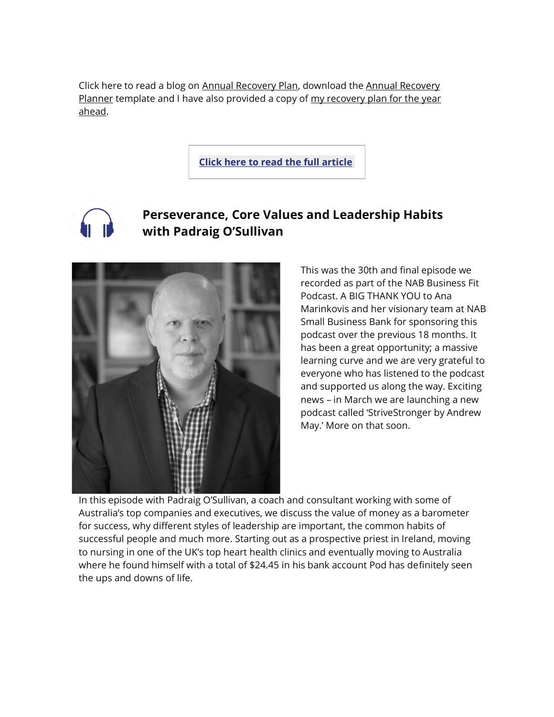Click here to read a blog on [Annual Recovery Plan,](https://andrewmay.lt.acemlnb.com/Prod/link-tracker?notrack=1¬rack=1&redirectUrl=aHR0cHMlM0ElMkYlMkZ3d3cuYW5kcmV3bWF5LmNvbSUyRmFubnVhbC1yZWNvdmVyeS1wbGFuJTJG&sig=Dmjeg3vDuvNZykggnySPnJf211q3y7UTYAsCiX6pomkA&iat=1649118469&a=%7C%7C1001112958%7C%7C&account=andrewmay%2Eactivehosted%2Ecom&email=LRRV6glqIfcVPcYsJBrMHi%2FZD%2BmsUFpJrc5fHf6IoVE%3D&s=bad97c655476f96a390a72c05a742011&i=94A71A5A556) download the [Annual Recovery](https://andrewmay.lt.acemlnb.com/Prod/link-tracker?notrack=1¬rack=1&redirectUrl=aHR0cHMlM0ElMkYlMkZzMy5hbWF6b25hd3MuY29tJTJGa2FqYWJpLXN0b3JlZnJvbnRzLXByb2R1Y3Rpb24lMkZzaXRlcyUyRjY1OTA3JTJGdGhlbWVzJTJGMjE0ODE1ODA1NCUyRmRvd25sb2FkcyUyRmI1d2F2b3BKUldLNTZKSWthU3dEX0FubnVhbF9SZWNvdmVyeV9QbGFubmVyLnBkZg==&sig=8kux5Wg49fhK4ZXK2RycVrzokMma7FoBzjzZgfmYtuQx&iat=1649118469&a=%7C%7C1001112958%7C%7C&account=andrewmay%2Eactivehosted%2Ecom&email=LRRV6glqIfcVPcYsJBrMHi%2FZD%2BmsUFpJrc5fHf6IoVE%3D&s=bad97c655476f96a390a72c05a742011&i=94A71A5A552)  [Planner](https://andrewmay.lt.acemlnb.com/Prod/link-tracker?notrack=1¬rack=1&redirectUrl=aHR0cHMlM0ElMkYlMkZzMy5hbWF6b25hd3MuY29tJTJGa2FqYWJpLXN0b3JlZnJvbnRzLXByb2R1Y3Rpb24lMkZzaXRlcyUyRjY1OTA3JTJGdGhlbWVzJTJGMjE0ODE1ODA1NCUyRmRvd25sb2FkcyUyRmI1d2F2b3BKUldLNTZKSWthU3dEX0FubnVhbF9SZWNvdmVyeV9QbGFubmVyLnBkZg==&sig=8kux5Wg49fhK4ZXK2RycVrzokMma7FoBzjzZgfmYtuQx&iat=1649118469&a=%7C%7C1001112958%7C%7C&account=andrewmay%2Eactivehosted%2Ecom&email=LRRV6glqIfcVPcYsJBrMHi%2FZD%2BmsUFpJrc5fHf6IoVE%3D&s=bad97c655476f96a390a72c05a742011&i=94A71A5A552) template and I have also provided a copy of my recovery plan for the year ahead.

**Click here to read the full [article](https://andrewmay.lt.acemlnb.com/Prod/link-tracker?notrack=1¬rack=1&redirectUrl=aHR0cHMlM0ElMkYlMkZ3d3cuYW5kcmV3bWF5LmNvbSUyRmFubnVhbC1yZWNvdmVyeS1wbGFuJTJG&sig=Dmjeg3vDuvNZykggnySPnJf211q3y7UTYAsCiX6pomkA&iat=1649118469&a=%7C%7C1001112958%7C%7C&account=andrewmay%2Eactivehosted%2Ecom&email=LRRV6glqIfcVPcYsJBrMHi%2FZD%2BmsUFpJrc5fHf6IoVE%3D&s=bad97c655476f96a390a72c05a742011&i=94A71A5A556)**

## **Perseverance, Core Values and Leadership Habits with Padraig O'Sullivan**



This was the 30th and final episode we recorded as part of the NAB Business Fit Podcast. A BIG THANK YOU to Ana Marinkovis and her visionary team at NAB Small Business Bank for sponsoring this podcast over the previous 18 months. It has been a great opportunity; a massive learning curve and we are very grateful to everyone who has listened to the podcast and supported us along the way. Exciting news – in March we are launching a new podcast called 'StriveStronger by Andrew May.' More on that soon.

In this episode with Padraig O'Sullivan, a coach and consultant working with some of Australia's top companies and executives, we discuss the value of money as a barometer for success, why different styles of leadership are important, the common habits of successful people and much more. Starting out as a prospective priest in Ireland, moving to nursing in one of the UK's top heart health clinics and eventually moving to Australia where he found himself with a total of \$24.45 in his bank account Pod has definitely seen the ups and downs of life.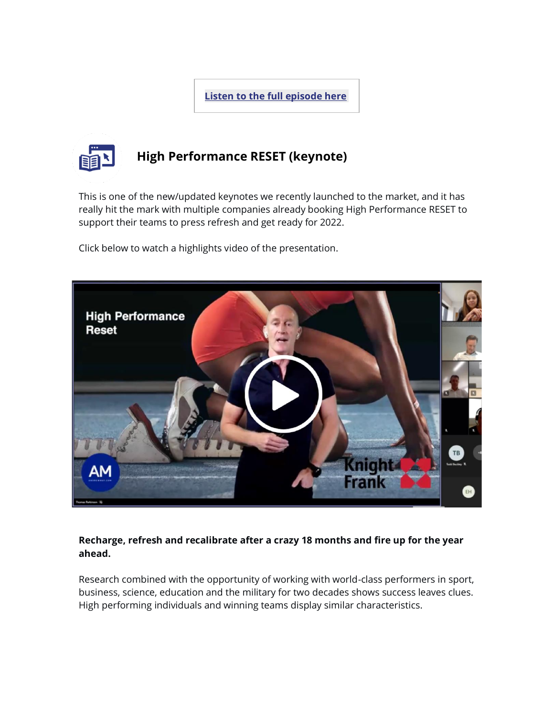**Listen to the full [episode](https://andrewmay.lt.acemlnb.com/Prod/link-tracker?notrack=1¬rack=1&redirectUrl=aHR0cHMlM0ElMkYlMkZ3d3cuYW5kcmV3bWF5LmNvbSUyRnBvZGNhc3RzJTJGMzAtcGFkcmFpZy1vc3VsbGl2YW4tcGVyc2V2ZXJhbmNlLWNvcmUtdmFsdWVzLWFuZC1sZWFkZXJzaGlwLWhhYml0cyUyRg==&sig=ACiZwWB6fMiytr8J6QXbN8QKdg6Pab7hLJZMUgNVEYoM&iat=1649118469&a=%7C%7C1001112958%7C%7C&account=andrewmay%2Eactivehosted%2Ecom&email=LRRV6glqIfcVPcYsJBrMHi%2FZD%2BmsUFpJrc5fHf6IoVE%3D&s=bad97c655476f96a390a72c05a742011&i=94A71A5A550) her[e](https://andrewmay.lt.acemlnb.com/Prod/link-tracker?notrack=1¬rack=1&redirectUrl=aHR0cHMlM0ElMkYlMkZ3d3cuYW5kcmV3bWF5LmNvbSUyRnBvZGNhc3RzJTJGMzAtcGFkcmFpZy1vc3VsbGl2YW4tcGVyc2V2ZXJhbmNlLWNvcmUtdmFsdWVzLWFuZC1sZWFkZXJzaGlwLWhhYml0cyUyRg==&sig=ACiZwWB6fMiytr8J6QXbN8QKdg6Pab7hLJZMUgNVEYoM&iat=1649118469&a=%7C%7C1001112958%7C%7C&account=andrewmay%2Eactivehosted%2Ecom&email=LRRV6glqIfcVPcYsJBrMHi%2FZD%2BmsUFpJrc5fHf6IoVE%3D&s=bad97c655476f96a390a72c05a742011&i=94A71A5A550)**



# **High Performance RESET (keynote)**

This is one of the new/updated keynotes we recently launched to the market, and it has really hit the mark with multiple companies already booking High Performance RESET to support their teams to press refresh and get ready for 2022.

Click below to watch a highlights video of the presentation.



#### **Recharge, refresh and recalibrate after a crazy 18 months and fire up for the year ahead.**

Research combined with the opportunity of working with world-class performers in sport, business, science, education and the military for two decades shows success leaves clues. High performing individuals and winning teams display similar characteristics.